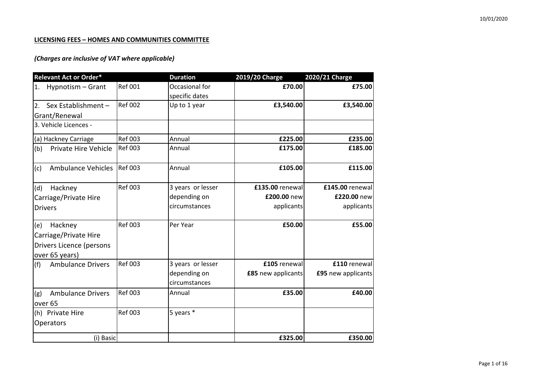### **LICENSING FEES – HOMES AND COMMUNITIES COMMITTEE**

| <b>Relevant Act or Order*</b>    |                | <b>Duration</b>   | 2019/20 Charge     | 2020/21 Charge     |
|----------------------------------|----------------|-------------------|--------------------|--------------------|
| Hypnotism - Grant<br>1.          | <b>Ref 001</b> | Occasional for    | £70.00             | £75.00             |
|                                  |                | specific dates    |                    |                    |
| Sex Establishment -<br>2.        | <b>Ref 002</b> | Up to 1 year      | £3,540.00          | £3,540.00          |
| Grant/Renewal                    |                |                   |                    |                    |
| 3. Vehicle Licences -            |                |                   |                    |                    |
| (a) Hackney Carriage             | <b>Ref 003</b> | Annual            | £225.00            | £235.00            |
| Private Hire Vehicle<br>(b)      | <b>Ref 003</b> | Annual            | £175.00            | £185.00            |
| <b>Ambulance Vehicles</b><br>(c) | <b>Ref 003</b> | Annual            | £105.00            | £115.00            |
| Hackney<br>(d)                   | <b>Ref 003</b> | 3 years or lesser | £135.00 renewal    | £145.00 renewal    |
| Carriage/Private Hire            |                | depending on      | £200.00 new        | £220.00 new        |
| <b>Drivers</b>                   |                | circumstances     | applicants         | applicants         |
| Hackney<br>(e)                   | <b>Ref 003</b> | Per Year          | £50.00             | £55.00             |
| Carriage/Private Hire            |                |                   |                    |                    |
| Drivers Licence (persons         |                |                   |                    |                    |
| over 65 years)                   |                |                   |                    |                    |
| <b>Ambulance Drivers</b><br>(f)  | <b>Ref 003</b> | 3 years or lesser | £105 renewal       | £110 renewal       |
|                                  |                | depending on      | £85 new applicants | £95 new applicants |
|                                  |                | circumstances     |                    |                    |
| <b>Ambulance Drivers</b><br>(g)  | <b>Ref 003</b> | Annual            | £35.00             | £40.00             |
| over 65                          |                |                   |                    |                    |
| (h) Private Hire                 | <b>Ref 003</b> | 5 years *         |                    |                    |
| Operators                        |                |                   |                    |                    |
| (i) Basic                        |                |                   | £325.00            | £350.00            |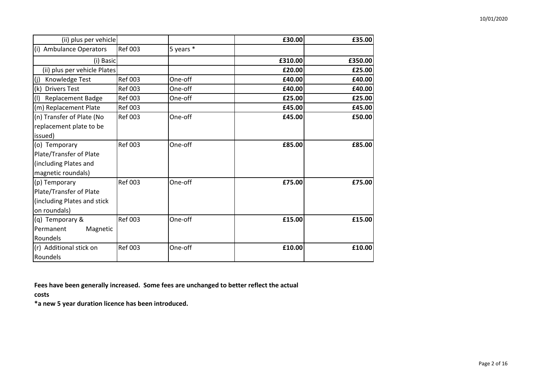| (ii) plus per vehicle           |                |           | £30.00  | £35.00  |
|---------------------------------|----------------|-----------|---------|---------|
| (i) Ambulance Operators         | <b>Ref 003</b> | 5 years * |         |         |
| (i) Basic                       |                |           | £310.00 | £350.00 |
| (ii) plus per vehicle Plates    |                |           | £20.00  | £25.00  |
| (j)<br>Knowledge Test           | <b>Ref 003</b> | One-off   | £40.00  | £40.00  |
| (k)<br><b>Drivers Test</b>      | <b>Ref 003</b> | One-off   | £40.00  | £40.00  |
| (1)<br><b>Replacement Badge</b> | <b>Ref 003</b> | One-off   | £25.00  | £25.00  |
| (m) Replacement Plate           | <b>Ref 003</b> |           | £45.00  | £45.00  |
| (n) Transfer of Plate (No       | <b>Ref 003</b> | One-off   | £45.00  | £50.00  |
| replacement plate to be         |                |           |         |         |
| issued)                         |                |           |         |         |
| (o) Temporary                   | <b>Ref 003</b> | One-off   | £85.00  | £85.00  |
| Plate/Transfer of Plate         |                |           |         |         |
| (including Plates and           |                |           |         |         |
| magnetic roundals)              |                |           |         |         |
| (p) Temporary                   | <b>Ref 003</b> | One-off   | £75.00  | £75.00  |
| Plate/Transfer of Plate         |                |           |         |         |
| (including Plates and stick     |                |           |         |         |
| on roundals)                    |                |           |         |         |
| (q) Temporary &                 | <b>Ref 003</b> | One-off   | £15.00  | £15.00  |
| Magnetic<br>Permanent           |                |           |         |         |
| Roundels                        |                |           |         |         |
| (r) Additional stick on         | <b>Ref 003</b> | One-off   | £10.00  | £10.00  |
| Roundels                        |                |           |         |         |

**Fees have been generally increased. Some fees are unchanged to better reflect the actual** 

**costs**

**\*a new 5 year duration licence has been introduced.**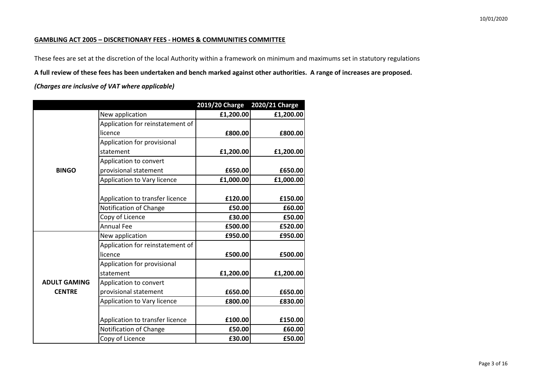#### **GAMBLING ACT 2005 – DISCRETIONARY FEES - HOMES & COMMUNITIES COMMITTEE**

These fees are set at the discretion of the local Authority within a framework on minimum and maximums set in statutory regulations

**A full review of these fees has been undertaken and bench marked against other authorities. A range of increases are proposed.**

|                     |                                  | 2019/20 Charge | 2020/21 Charge |
|---------------------|----------------------------------|----------------|----------------|
|                     | New application                  | £1,200.00      | £1,200.00      |
|                     | Application for reinstatement of |                |                |
|                     | licence                          | £800.00        | £800.00        |
|                     | Application for provisional      |                |                |
|                     | statement                        | £1,200.00      | £1,200.00      |
|                     | Application to convert           |                |                |
| <b>BINGO</b>        | provisional statement            | £650.00        | £650.00        |
|                     | Application to Vary licence      | £1,000.00      | £1,000.00      |
|                     |                                  |                |                |
|                     | Application to transfer licence  | £120.00        | £150.00        |
|                     | Notification of Change           | £50.00         | £60.00         |
|                     | Copy of Licence                  | £30.00         | £50.00         |
|                     | <b>Annual Fee</b>                | £500.00        | £520.00        |
|                     | New application                  | £950.00        | £950.00        |
|                     | Application for reinstatement of |                |                |
|                     | licence                          | £500.00        | £500.00        |
|                     | Application for provisional      |                |                |
|                     | statement                        | £1,200.00      | £1,200.00      |
| <b>ADULT GAMING</b> | Application to convert           |                |                |
| <b>CENTRE</b>       | provisional statement            | £650.00        | £650.00        |
|                     | Application to Vary licence      | £800.00        | £830.00        |
|                     |                                  |                |                |
|                     | Application to transfer licence  | £100.00        | £150.00        |
|                     | Notification of Change           | £50.00         | £60.00         |
|                     | Copy of Licence                  | £30.00         | £50.00         |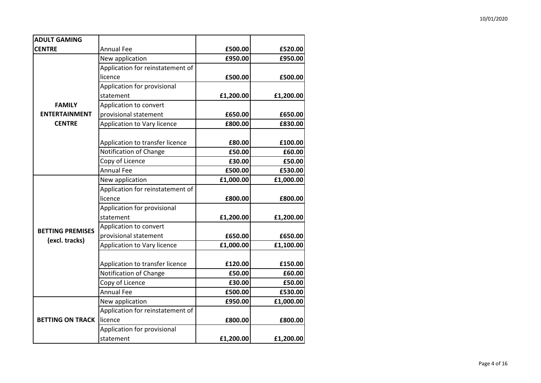| <b>ADULT GAMING</b>     |                                  |           |           |
|-------------------------|----------------------------------|-----------|-----------|
| <b>CENTRE</b>           | <b>Annual Fee</b>                | £500.00   | £520.00   |
|                         | New application                  | £950.00   | £950.00   |
|                         | Application for reinstatement of |           |           |
|                         | licence                          | £500.00   | £500.00   |
|                         | Application for provisional      |           |           |
|                         | statement                        | £1,200.00 | £1,200.00 |
| <b>FAMILY</b>           | Application to convert           |           |           |
| <b>ENTERTAINMENT</b>    | provisional statement            | £650.00   | £650.00   |
| <b>CENTRE</b>           | Application to Vary licence      | £800.00   | £830.00   |
|                         |                                  |           |           |
|                         | Application to transfer licence  | £80.00    | £100.00   |
|                         | Notification of Change           | £50.00    | £60.00    |
|                         | Copy of Licence                  | £30.00    | £50.00    |
|                         | <b>Annual Fee</b>                | £500.00   | £530.00   |
|                         | New application                  | £1,000.00 | £1,000.00 |
|                         | Application for reinstatement of |           |           |
|                         | licence                          | £800.00   | £800.00   |
|                         | Application for provisional      |           |           |
|                         | statement                        | £1,200.00 | £1,200.00 |
| <b>BETTING PREMISES</b> | Application to convert           |           |           |
| (excl. tracks)          | provisional statement            | £650.00   | £650.00   |
|                         | Application to Vary licence      | £1,000.00 | £1,100.00 |
|                         |                                  |           |           |
|                         | Application to transfer licence  | £120.00   | £150.00   |
|                         | Notification of Change           | £50.00    | £60.00    |
|                         | Copy of Licence                  | £30.00    | £50.00    |
|                         | <b>Annual Fee</b>                | £500.00   | £530.00   |
|                         | New application                  | £950.00   | £1,000.00 |
|                         | Application for reinstatement of |           |           |
| <b>BETTING ON TRACK</b> | licence                          | £800.00   | £800.00   |
|                         | Application for provisional      |           |           |
|                         | statement                        | £1,200.00 | £1,200.00 |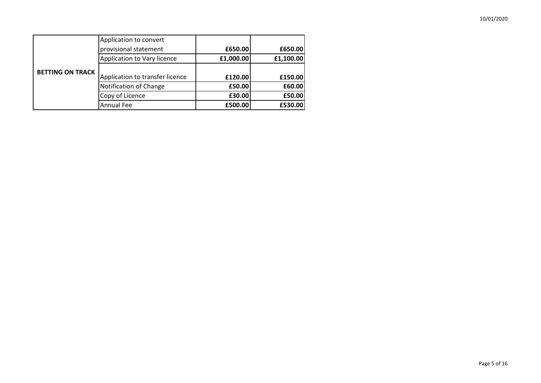|                         | Application to convert          |           |           |
|-------------------------|---------------------------------|-----------|-----------|
|                         | provisional statement           | £650.00   | £650.00   |
|                         | Application to Vary licence     | £1,000.00 | £1,100.00 |
| <b>BETTING ON TRACK</b> |                                 |           |           |
|                         | Application to transfer licence | £120.00   | £150.00   |
|                         | <b>Notification of Change</b>   | £50.00    | £60.00    |
|                         | Copy of Licence                 | £30.00    | £50.00    |
|                         | <b>Annual Fee</b>               | £500.00   | £530.00   |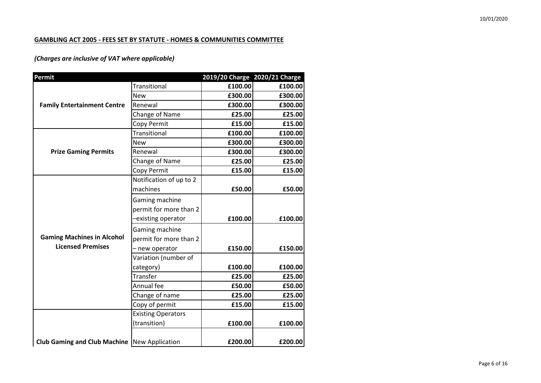### **GAMBLING ACT 2005 - FEES SET BY STATUTE - HOMES & COMMUNITIES COMMITTEE**

| Permit                                         |                           | 2019/20 Charge 2020/21 Charge |         |
|------------------------------------------------|---------------------------|-------------------------------|---------|
|                                                | Transitional              | £100.00                       | £100.00 |
|                                                | <b>New</b>                | £300.00                       | £300.00 |
| <b>Family Entertainment Centre</b>             | Renewal                   | £300.00                       | £300.00 |
|                                                | Change of Name            | £25.00                        | £25.00  |
|                                                | Copy Permit               | £15.00                        | £15.00  |
|                                                | Transitional              | £100.00                       | £100.00 |
|                                                | <b>New</b>                | £300.00                       | £300.00 |
| <b>Prize Gaming Permits</b>                    | Renewal                   | £300.00                       | £300.00 |
|                                                | Change of Name            | £25.00                        | £25.00  |
|                                                | Copy Permit               | £15.00                        | £15.00  |
|                                                | Notification of up to 2   |                               |         |
|                                                | machines                  | £50.00                        | £50.00  |
|                                                | Gaming machine            |                               |         |
|                                                | permit for more than 2    |                               |         |
|                                                | -existing operator        | £100.00                       | £100.00 |
|                                                | Gaming machine            |                               |         |
| <b>Gaming Machines in Alcohol</b>              | permit for more than 2    |                               |         |
| <b>Licensed Premises</b>                       | - new operator            | £150.00                       | £150.00 |
|                                                | Variation (number of      |                               |         |
|                                                | category)                 | £100.00                       | £100.00 |
|                                                | Transfer                  | £25.00                        | £25.00  |
|                                                | Annual fee                | £50.00                        | £50.00  |
|                                                | Change of name            | £25.00                        | £25.00  |
|                                                | Copy of permit            | £15.00                        | £15.00  |
|                                                | <b>Existing Operators</b> |                               |         |
|                                                | (transition)              | £100.00                       | £100.00 |
| Club Gaming and Club Machine   New Application |                           | £200.00                       | £200.00 |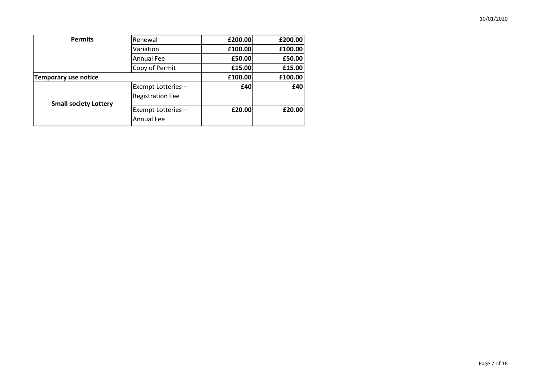| <b>Permits</b>               | Renewal                                 | £200.00 | £200.00 |
|------------------------------|-----------------------------------------|---------|---------|
|                              | Variation                               | £100.00 | £100.00 |
|                              | Annual Fee                              | £50.00  | £50.00  |
|                              | Copy of Permit                          | £15.00  | £15.00  |
| Temporary use notice         |                                         | £100.00 | £100.00 |
|                              | Exempt Lotteries -                      | £40     | £40     |
|                              | <b>Registration Fee</b>                 |         |         |
| <b>Small society Lottery</b> | Exempt Lotteries -<br><b>Annual Fee</b> | £20.00  | £20.00  |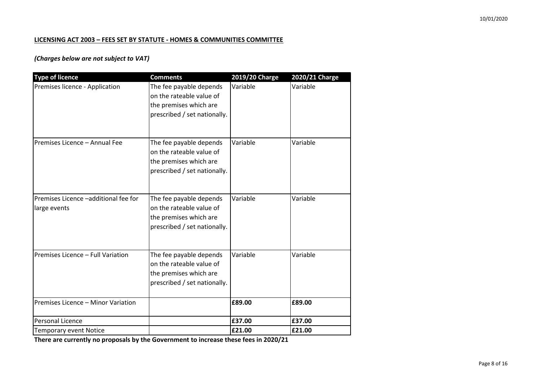### **LICENSING ACT 2003 – FEES SET BY STATUTE - HOMES & COMMUNITIES COMMITTEE**

## *(Charges below are not subject to VAT)*

| <b>Type of licence</b>                               | <b>Comments</b>                                                                                               | 2019/20 Charge | <b>2020/21 Charge</b> |
|------------------------------------------------------|---------------------------------------------------------------------------------------------------------------|----------------|-----------------------|
| Premises licence - Application                       | The fee payable depends<br>on the rateable value of<br>the premises which are<br>prescribed / set nationally. | Variable       | Variable              |
| Premises Licence - Annual Fee                        | The fee payable depends<br>on the rateable value of<br>the premises which are<br>prescribed / set nationally. | Variable       | Variable              |
| Premises Licence -additional fee for<br>large events | The fee payable depends<br>on the rateable value of<br>the premises which are<br>prescribed / set nationally. | Variable       | Variable              |
| Premises Licence - Full Variation                    | The fee payable depends<br>on the rateable value of<br>the premises which are<br>prescribed / set nationally. | Variable       | Variable              |
| Premises Licence - Minor Variation                   |                                                                                                               | £89.00         | £89.00                |
| <b>Personal Licence</b>                              |                                                                                                               | £37.00         | £37.00                |
| <b>Temporary event Notice</b>                        |                                                                                                               | £21.00         | £21.00                |

**There are currently no proposals by the Government to increase these fees in 2020/21**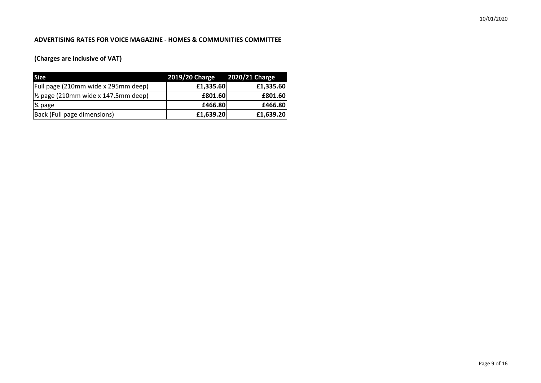### **ADVERTISING RATES FOR VOICE MAGAZINE - HOMES & COMMUNITIES COMMITTEE**

# **(Charges are inclusive of VAT)**

| <b>Size</b>                                    | 2019/20 Charge 2020/21 Charge |           |
|------------------------------------------------|-------------------------------|-----------|
| Full page (210mm wide x 295mm deep)            | £1,335.60                     | £1,335.60 |
| $\frac{1}{2}$ page (210mm wide x 147.5mm deep) | £801.60                       | £801.60   |
| 1⁄4 page                                       | £466.80                       | £466.80   |
| Back (Full page dimensions)                    | £1,639.20                     | £1,639.20 |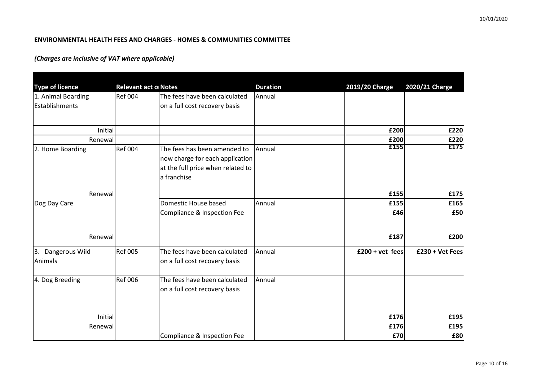### **ENVIRONMENTAL HEALTH FEES AND CHARGES - HOMES & COMMUNITIES COMMITTEE**

|                                              | <b>Relevant act o Notes</b> |                                   | <b>Duration</b> |                 |                 |
|----------------------------------------------|-----------------------------|-----------------------------------|-----------------|-----------------|-----------------|
| <b>Type of licence</b><br>1. Animal Boarding | <b>Ref 004</b>              | The fees have been calculated     | Annual          | 2019/20 Charge  | 2020/21 Charge  |
| Establishments                               |                             | on a full cost recovery basis     |                 |                 |                 |
|                                              |                             |                                   |                 |                 |                 |
|                                              |                             |                                   |                 |                 |                 |
| Initial                                      |                             |                                   |                 | £200            | £220            |
| Renewall                                     |                             |                                   |                 | £200            | £220            |
| 2. Home Boarding                             | <b>Ref 004</b>              | The fees has been amended to      | Annual          | £155            | £175            |
|                                              |                             | now charge for each application   |                 |                 |                 |
|                                              |                             | at the full price when related to |                 |                 |                 |
|                                              |                             | a franchise                       |                 |                 |                 |
|                                              |                             |                                   |                 |                 |                 |
| Renewall                                     |                             |                                   |                 | £155            | £175            |
| Dog Day Care                                 |                             | Domestic House based              | Annual          | £155            | £165            |
|                                              |                             | Compliance & Inspection Fee       |                 | £46             | £50             |
|                                              |                             |                                   |                 |                 |                 |
| Renewall                                     |                             |                                   |                 | £187            | £200            |
|                                              |                             |                                   |                 |                 |                 |
| 3. Dangerous Wild                            | <b>Ref 005</b>              | The fees have been calculated     | Annual          | £200 + vet fees | £230 + Vet Fees |
| Animals                                      |                             | on a full cost recovery basis     |                 |                 |                 |
|                                              | <b>Ref 006</b>              | The fees have been calculated     | Annual          |                 |                 |
| 4. Dog Breeding                              |                             |                                   |                 |                 |                 |
|                                              |                             | on a full cost recovery basis     |                 |                 |                 |
|                                              |                             |                                   |                 |                 |                 |
| Initial                                      |                             |                                   |                 | £176            | £195            |
| Renewal                                      |                             |                                   |                 | £176            | £195            |
|                                              |                             | Compliance & Inspection Fee       |                 | £70             | £80             |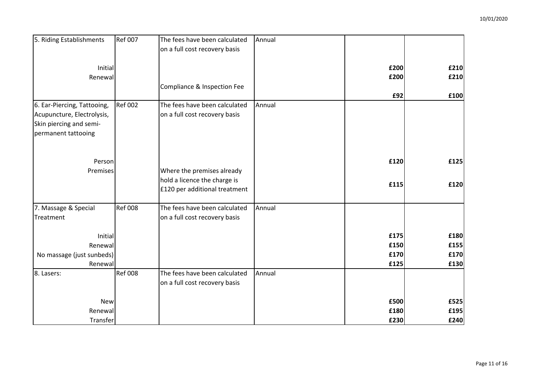| 5. Riding Establishments    | <b>Ref 007</b> | The fees have been calculated | Annual |      |      |
|-----------------------------|----------------|-------------------------------|--------|------|------|
|                             |                | on a full cost recovery basis |        |      |      |
|                             |                |                               |        |      |      |
| Initial                     |                |                               |        | £200 | £210 |
| Renewal                     |                |                               |        | £200 | £210 |
|                             |                | Compliance & Inspection Fee   |        |      |      |
|                             |                |                               |        | £92  | £100 |
| 6. Ear-Piercing, Tattooing, | <b>Ref 002</b> | The fees have been calculated | Annual |      |      |
| Acupuncture, Electrolysis,  |                | on a full cost recovery basis |        |      |      |
| Skin piercing and semi-     |                |                               |        |      |      |
| permanent tattooing         |                |                               |        |      |      |
|                             |                |                               |        |      |      |
|                             |                |                               |        |      |      |
| Person                      |                |                               |        | £120 | £125 |
| Premises                    |                | Where the premises already    |        |      |      |
|                             |                | hold a licence the charge is  |        |      |      |
|                             |                | £120 per additional treatment |        | £115 | £120 |
|                             |                |                               |        |      |      |
| 7. Massage & Special        | <b>Ref 008</b> | The fees have been calculated | Annual |      |      |
| Treatment                   |                | on a full cost recovery basis |        |      |      |
|                             |                |                               |        |      |      |
| Initial                     |                |                               |        | £175 | £180 |
| Renewal                     |                |                               |        | £150 | £155 |
| No massage (just sunbeds)   |                |                               |        | £170 | £170 |
| Renewal                     |                |                               |        | £125 | £130 |
| 8. Lasers:                  | <b>Ref 008</b> | The fees have been calculated | Annual |      |      |
|                             |                | on a full cost recovery basis |        |      |      |
|                             |                |                               |        |      |      |
| <b>New</b>                  |                |                               |        | £500 | £525 |
| Renewal                     |                |                               |        | £180 | £195 |
| Transfer                    |                |                               |        | £230 | £240 |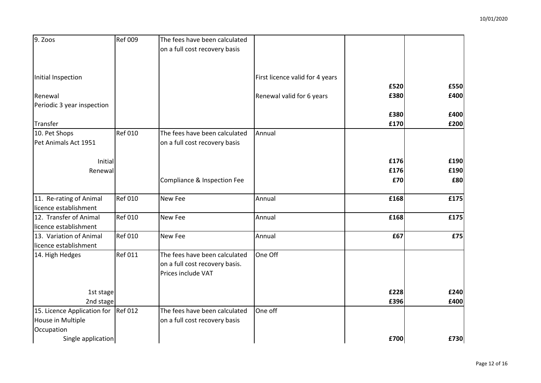| 9. Zoos                                          | Ref 009        | The fees have been calculated<br>on a full cost recovery basis                        |                                 |      |      |
|--------------------------------------------------|----------------|---------------------------------------------------------------------------------------|---------------------------------|------|------|
| Initial Inspection                               |                |                                                                                       | First licence valid for 4 years | £520 | £550 |
| Renewal                                          |                |                                                                                       | Renewal valid for 6 years       | £380 | £400 |
| Periodic 3 year inspection                       |                |                                                                                       |                                 |      |      |
|                                                  |                |                                                                                       |                                 | £380 | £400 |
| Transfer                                         | <b>Ref 010</b> | The fees have been calculated                                                         | Annual                          | £170 | £200 |
| 10. Pet Shops<br>Pet Animals Act 1951            |                | on a full cost recovery basis                                                         |                                 |      |      |
|                                                  |                |                                                                                       |                                 |      |      |
| Initial                                          |                |                                                                                       |                                 | £176 | £190 |
| Renewal                                          |                |                                                                                       |                                 | £176 | £190 |
|                                                  |                | Compliance & Inspection Fee                                                           |                                 | £70  | £80  |
| 11. Re-rating of Animal<br>licence establishment | <b>Ref 010</b> | <b>New Fee</b>                                                                        | Annual                          | £168 | £175 |
| 12. Transfer of Animal<br>licence establishment  | <b>Ref 010</b> | New Fee                                                                               | Annual                          | £168 | £175 |
| 13. Variation of Animal<br>licence establishment | <b>Ref 010</b> | <b>New Fee</b>                                                                        | Annual                          | £67  | E75  |
| 14. High Hedges                                  | <b>Ref 011</b> | The fees have been calculated<br>on a full cost recovery basis.<br>Prices include VAT | One Off                         |      |      |
| 1st stage                                        |                |                                                                                       |                                 | £228 | £240 |
| 2nd stage                                        |                |                                                                                       |                                 | £396 | £400 |
| 15. Licence Application for Ref 012              |                | The fees have been calculated                                                         | One off                         |      |      |
| House in Multiple                                |                | on a full cost recovery basis                                                         |                                 |      |      |
| Occupation                                       |                |                                                                                       |                                 |      |      |
| Single application                               |                |                                                                                       |                                 | £700 | £730 |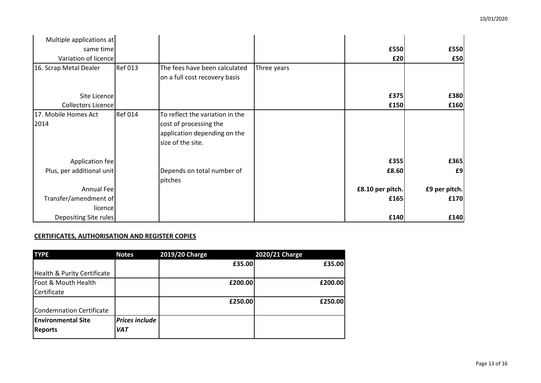| Multiple applications at  |                |                                 |             |                  |               |
|---------------------------|----------------|---------------------------------|-------------|------------------|---------------|
| same time                 |                |                                 |             | £550             | £550          |
| Variation of licence      |                |                                 |             | £20              | £50           |
| 16. Scrap Metal Dealer    | <b>Ref 013</b> | The fees have been calculated   | Three years |                  |               |
|                           |                | on a full cost recovery basis   |             |                  |               |
|                           |                |                                 |             |                  |               |
| Site Licence              |                |                                 |             | £375             | £380          |
| Collectors Licence        |                |                                 |             | £150             | £160          |
| 17. Mobile Homes Act      | <b>Ref 014</b> | To reflect the variation in the |             |                  |               |
| 2014                      |                | cost of processing the          |             |                  |               |
|                           |                | application depending on the    |             |                  |               |
|                           |                | size of the site.               |             |                  |               |
| Application fee           |                |                                 |             | £355             | £365          |
| Plus, per additional unit |                | Depends on total number of      |             | £8.60            | £9            |
|                           |                | pitches                         |             |                  |               |
| Annual Fee                |                |                                 |             | £8.10 per pitch. | £9 per pitch. |
| Transfer/amendment of     |                |                                 |             | £165             | £170          |
| licencel                  |                |                                 |             |                  |               |
| Depositing Site rules     |                |                                 |             | £140             | £140          |

### **CERTIFICATES, AUTHORISATION AND REGISTER COPIES**

|                       | £35.00<br>£200.00 | £35.00<br>£200.00 |
|-----------------------|-------------------|-------------------|
|                       |                   |                   |
|                       |                   |                   |
|                       |                   |                   |
|                       |                   |                   |
|                       | £250.00           | £250.00           |
|                       |                   |                   |
| <b>Prices include</b> |                   |                   |
| <b>VAT</b>            |                   |                   |
|                       |                   |                   |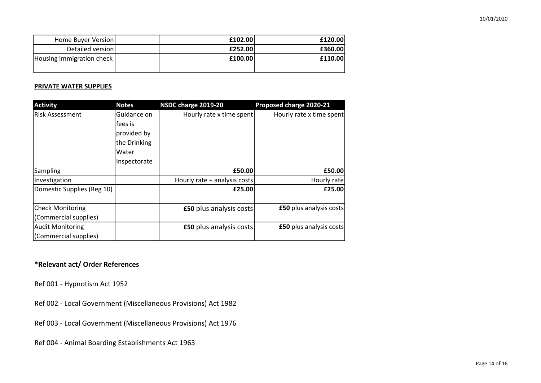| Home Buyer Version        | £102.00 | £120.00 |
|---------------------------|---------|---------|
| Detailed version          | £252.00 | £360.00 |
| Housing immigration check | £100.00 | £110.00 |

#### **PRIVATE WATER SUPPLIES**

| <b>Activity</b>            | <b>Notes</b> | NSDC charge 2019-20            | Proposed charge 2020-21        |
|----------------------------|--------------|--------------------------------|--------------------------------|
| Risk Assessment            | Guidance on  | Hourly rate x time spent       | Hourly rate x time spent       |
|                            | fees is      |                                |                                |
|                            | provided by  |                                |                                |
|                            | the Drinking |                                |                                |
|                            | Water        |                                |                                |
|                            | Inspectorate |                                |                                |
| Sampling                   |              | £50.00                         | £50.00                         |
| Investigation              |              | Hourly rate + analysis costs   | Hourly rate                    |
| Domestic Supplies (Reg 10) |              | £25.00                         | £25.00                         |
| <b>Check Monitoring</b>    |              | <b>£50 plus analysis costs</b> | <b>£50</b> plus analysis costs |
| (Commercial supplies)      |              |                                |                                |
| <b>Audit Monitoring</b>    |              | <b>£50 plus analysis costs</b> | <b>£50</b> plus analysis costs |
| (Commercial supplies)      |              |                                |                                |

## **\*Relevant act/ Order References**

Ref 001 - Hypnotism Act 1952

Ref 002 - Local Government (Miscellaneous Provisions) Act 1982

Ref 003 - Local Government (Miscellaneous Provisions) Act 1976

Ref 004 - Animal Boarding Establishments Act 1963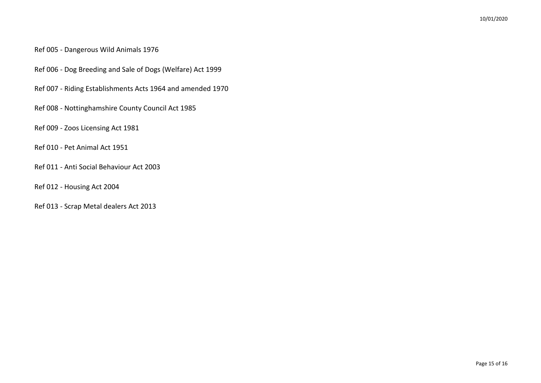## Ref 005 - Dangerous Wild Animals 1976

- Ref 006 Dog Breeding and Sale of Dogs (Welfare) Act 1999
- Ref 007 Riding Establishments Acts 1964 and amended 1970
- Ref 008 Nottinghamshire County Council Act 1985
- Ref 009 Zoos Licensing Act 1981
- Ref 010 Pet Animal Act 1951
- Ref 011 Anti Social Behaviour Act 2003
- Ref 012 Housing Act 2004
- Ref 013 Scrap Metal dealers Act 2013